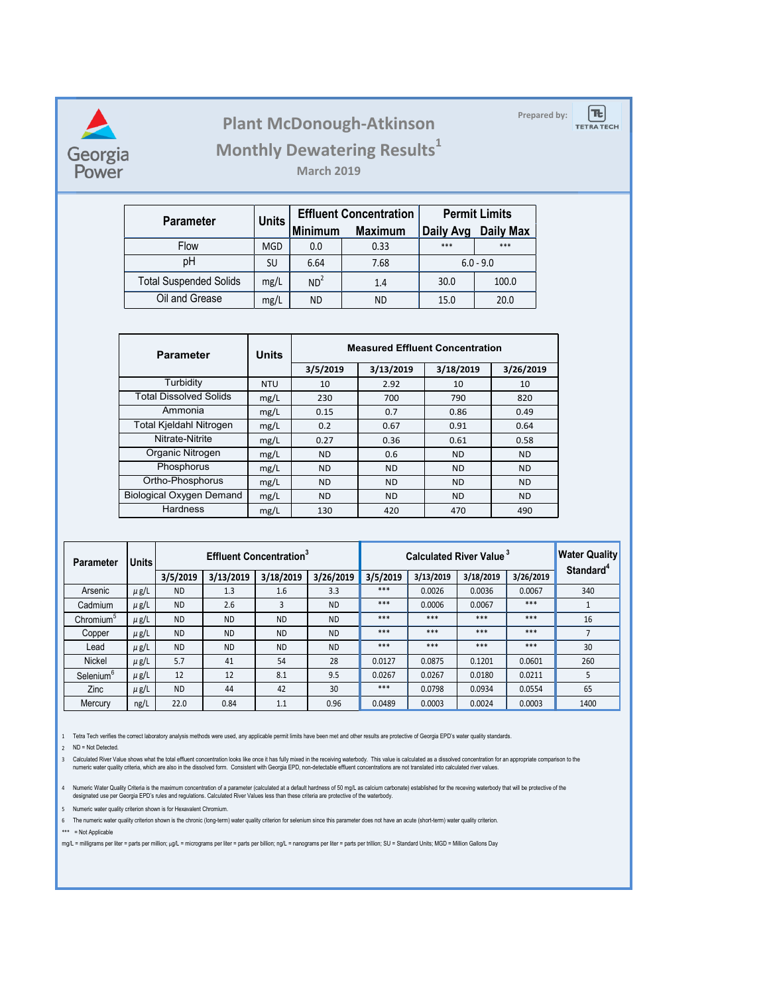

## Plant McDonough-Atkinson **Plant McDonough-Atkinson**



**TETRATECH** 

 $|\mathbf{E}|$ 

**Monthly Dewatering Results<sup>1</sup>** 

**March 2019**

| <b>Parameter</b>              | <b>Units</b> |                 | <b>Effluent Concentration</b> | <b>Permit Limits</b> |                  |  |
|-------------------------------|--------------|-----------------|-------------------------------|----------------------|------------------|--|
|                               |              | <b>Minimum</b>  | <b>Maximum</b>                | Daily Avg            | <b>Daily Max</b> |  |
| <b>Flow</b>                   | <b>MGD</b>   | 0.0             | 0.33                          | ***                  | ***              |  |
| pH                            | SU           | 6.64            | 7.68                          | $6.0 - 9.0$          |                  |  |
| <b>Total Suspended Solids</b> | mg/L         | ND <sup>2</sup> | 1.4                           | 30.0                 | 100.0            |  |
| Oil and Grease                | mg/L         | ND              | ND.                           | 15.0                 | 20.0             |  |

| <b>Parameter</b>                | <b>Units</b> | <b>Measured Effluent Concentration</b> |           |           |           |  |
|---------------------------------|--------------|----------------------------------------|-----------|-----------|-----------|--|
|                                 |              | 3/5/2019                               | 3/13/2019 | 3/18/2019 | 3/26/2019 |  |
| Turbidity                       | <b>NTU</b>   | 10                                     | 2.92      | 10        | 10        |  |
| <b>Total Dissolved Solids</b>   | mg/L         | 230                                    | 700       | 790       | 820       |  |
| Ammonia                         | mg/L         | 0.15                                   | 0.7       | 0.86      | 0.49      |  |
| <b>Total Kjeldahl Nitrogen</b>  | mg/L         | 0.2                                    | 0.67      | 0.91      | 0.64      |  |
| Nitrate-Nitrite                 | mg/L         | 0.27                                   | 0.36      | 0.61      | 0.58      |  |
| Organic Nitrogen                | mg/L         | <b>ND</b>                              | 0.6       | <b>ND</b> | ND.       |  |
| Phosphorus                      | mg/L         | <b>ND</b>                              | <b>ND</b> | <b>ND</b> | ND.       |  |
| Ortho-Phosphorus                | mg/L         | <b>ND</b>                              | <b>ND</b> | <b>ND</b> | ND.       |  |
| <b>Biological Oxygen Demand</b> | mg/L         | <b>ND</b>                              | <b>ND</b> | <b>ND</b> | ND.       |  |
| <b>Hardness</b>                 | mg/L         | 130                                    | 420       | 470       | 490       |  |

| <b>Parameter</b>      | <b>Units</b> | <b>Effluent Concentration</b> <sup>3</sup> |           |           | <b>Calculated River Value 3</b> |          |           |           | <b>Water Quality</b> |                       |
|-----------------------|--------------|--------------------------------------------|-----------|-----------|---------------------------------|----------|-----------|-----------|----------------------|-----------------------|
|                       |              | 3/5/2019                                   | 3/13/2019 | 3/18/2019 | 3/26/2019                       | 3/5/2019 | 3/13/2019 | 3/18/2019 | 3/26/2019            | Standard <sup>4</sup> |
| Arsenic               | $\mu$ g/L    | <b>ND</b>                                  | 1.3       | 1.6       | 3.3                             | $***$    | 0.0026    | 0.0036    | 0.0067               | 340                   |
| Cadmium               | $\mu$ g/L    | <b>ND</b>                                  | 2.6       | 3         | <b>ND</b>                       | $***$    | 0.0006    | 0.0067    | $***$                |                       |
| Chromium <sup>5</sup> | $\mu$ g/L    | <b>ND</b>                                  | <b>ND</b> | <b>ND</b> | <b>ND</b>                       | ***      | ***       | ***       | ***                  | 16                    |
| Copper                | $\mu$ g/L    | <b>ND</b>                                  | <b>ND</b> | <b>ND</b> | <b>ND</b>                       | ***      | ***       | ***       | ***                  | $\overline{7}$        |
| Lead                  | $\mu$ g/L    | <b>ND</b>                                  | <b>ND</b> | <b>ND</b> | <b>ND</b>                       | ***      | ***       | ***       | ***                  | 30                    |
| Nickel                | $\mu$ g/L    | 5.7                                        | 41        | 54        | 28                              | 0.0127   | 0.0875    | 0.1201    | 0.0601               | 260                   |
| Selenium <sup>6</sup> | $\mu$ g/L    | 12                                         | 12        | 8.1       | 9.5                             | 0.0267   | 0.0267    | 0.0180    | 0.0211               | 5                     |
| <b>Zinc</b>           | $\mu$ g/L    | <b>ND</b>                                  | 44        | 42        | 30                              | ***      | 0.0798    | 0.0934    | 0.0554               | 65                    |
| Mercury               | ng/L         | 22.0                                       | 0.84      | 1.1       | 0.96                            | 0.0489   | 0.0003    | 0.0024    | 0.0003               | 1400                  |

1 Tetra Tech verifies the correct laboratory analysis methods were used, any applicable permit limits have been met and other results are protective of Georgia EPD's water quality standards.

2 ND = Not Detected.

3 Calculated River Value shows what the total effluent concentration looks like once it has fully mixed in the receiving waterbody. This value is calculated as a dissolved concentration for an appropriate comparison to the numeric water quality criteria, which are also in the dissolved form. Consistent with Georgia EPD, non-detectable effluent concentrations are not translated into calculated river values.

4 Numeric Water Quality Criteria is the maximum concentration of a parameter (calculated at a default hardness of 50 mg/L as calcium carbonate) established for the receving waterbody that will be protective of the designated use per Georgia EPD's rules and regulations. Calculated River Values less than these criteria are protective of the waterbody.

5 Numeric water quality criterion shown is for Hexavalent Chromium.

6 The numeric water quality criterion shown is the chronic (long-term) water quality criterion for selenium since this parameter does not have an acute (short-term) water quality criterion.

\*\*\* = Not Applicable

mg/L = milligrams per liter = parts per million; µg/L = micrograms per liter = parts per billion; ng/L = nanograms per liter = parts per trillion; SU = Standard Units; MGD = Million Gallons Day